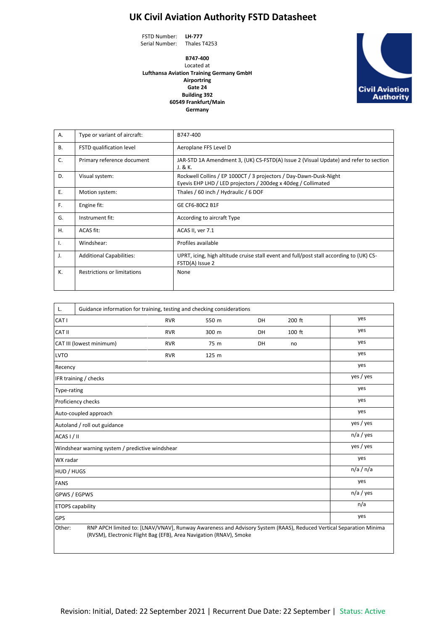## **UK Civil Aviation Authority FSTD Datasheet**

FSTD Number: **LH-777** Serial Number: Thales T4253

**B747-400** Located at **Lufthansa Aviation Training Germany GmbH Airportring Gate 24 Building 392 60549 Frankfurt/Main Germany**



| Α.        | Type or variant of aircraft:       | B747-400                                                                                                                           |  |  |
|-----------|------------------------------------|------------------------------------------------------------------------------------------------------------------------------------|--|--|
| <b>B.</b> | FSTD qualification level           | Aeroplane FFS Level D                                                                                                              |  |  |
| C.        | Primary reference document         | JAR-STD 1A Amendment 3, (UK) CS-FSTD(A) Issue 2 (Visual Update) and refer to section<br>J. & K.                                    |  |  |
| D.        | Visual system:                     | Rockwell Collins / EP 1000CT / 3 projectors / Day-Dawn-Dusk-Night<br>Eyevis EHP LHD / LED projectors / 200deg x 40deg / Collimated |  |  |
| Ε.        | Motion system:                     | Thales / 60 inch / Hydraulic / 6 DOF                                                                                               |  |  |
| F.        | Engine fit:                        | GE CF6-80C2 B1F                                                                                                                    |  |  |
| G.        | Instrument fit:                    | According to aircraft Type                                                                                                         |  |  |
| Η.        | ACAS fit:                          | ACAS II, ver 7.1                                                                                                                   |  |  |
| Ι.        | Windshear:                         | Profiles available                                                                                                                 |  |  |
| J.        | <b>Additional Capabilities:</b>    | UPRT, icing, high altitude cruise stall event and full/post stall according to (UK) CS-<br>FSTD(A) Issue 2                         |  |  |
| К.        | <b>Restrictions or limitations</b> | None                                                                                                                               |  |  |

| L.                                              | Guidance information for training, testing and checking considerations |             |       |    |        |                                                                                                                   |  |
|-------------------------------------------------|------------------------------------------------------------------------|-------------|-------|----|--------|-------------------------------------------------------------------------------------------------------------------|--|
| CAT <sub>I</sub>                                |                                                                        | <b>RVR</b>  | 550 m | DH | 200 ft | yes                                                                                                               |  |
| CAT II                                          |                                                                        | <b>RVR</b>  | 300 m | DH | 100 ft | yes                                                                                                               |  |
| CAT III (lowest minimum)                        |                                                                        | <b>RVR</b>  | 75 m  | DH | no     | yes                                                                                                               |  |
| <b>LVTO</b>                                     |                                                                        | <b>RVR</b>  | 125 m |    |        | yes                                                                                                               |  |
| Recency                                         |                                                                        |             |       |    |        | yes                                                                                                               |  |
|                                                 | IFR training / checks                                                  | yes / yes   |       |    |        |                                                                                                                   |  |
| Type-rating                                     |                                                                        | yes         |       |    |        |                                                                                                                   |  |
|                                                 | Proficiency checks                                                     | yes         |       |    |        |                                                                                                                   |  |
|                                                 | Auto-coupled approach                                                  | yes         |       |    |        |                                                                                                                   |  |
|                                                 | Autoland / roll out guidance                                           | yes / yes   |       |    |        |                                                                                                                   |  |
| ACAS I / II                                     |                                                                        | n/a / yes   |       |    |        |                                                                                                                   |  |
| Windshear warning system / predictive windshear | yes / yes                                                              |             |       |    |        |                                                                                                                   |  |
| WX radar                                        | yes                                                                    |             |       |    |        |                                                                                                                   |  |
| HUD / HUGS                                      |                                                                        | n/a / n/a   |       |    |        |                                                                                                                   |  |
| <b>FANS</b>                                     |                                                                        | yes         |       |    |        |                                                                                                                   |  |
|                                                 | GPWS / EGPWS                                                           | $n/a$ / yes |       |    |        |                                                                                                                   |  |
|                                                 | <b>ETOPS</b> capability                                                | n/a         |       |    |        |                                                                                                                   |  |
| GPS                                             |                                                                        |             |       |    |        | yes                                                                                                               |  |
| Other:                                          | (RVSM), Electronic Flight Bag (EFB), Area Navigation (RNAV), Smoke     |             |       |    |        | RNP APCH limited to: [LNAV/VNAV], Runway Awareness and Advisory System (RAAS), Reduced Vertical Separation Minima |  |